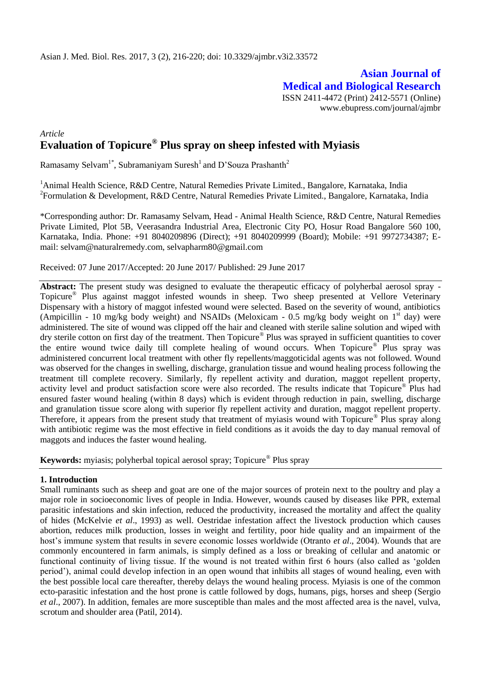# **Asian Journal of Medical and Biological Research** ISSN 2411-4472 (Print) 2412-5571 (Online) www.ebupress.com/journal/ajmbr

# *Article* **Evaluation of Topicure® Plus spray on sheep infested with Myiasis**

Ramasamy Selvam<sup>1\*</sup>, Subramaniyam Suresh<sup>1</sup> and D'Souza Prashanth<sup>2</sup>

<sup>1</sup> Animal Health Science, R&D Centre, Natural Remedies Private Limited., Bangalore, Karnataka, India <sup>2</sup> Formulation & Development, R&D Centre, Natural Remedies Private Limited., Bangalore, Karnataka, India

\*Corresponding author: Dr. Ramasamy Selvam, Head - Animal Health Science, R&D Centre, Natural Remedies Private Limited, Plot 5B, Veerasandra Industrial Area, Electronic City PO, Hosur Road Bangalore 560 100, Karnataka, India. Phone: +91 8040209896 (Direct); +91 8040209999 (Board); Mobile: +91 9972734387; Email: [selvam@naturalremedy.com,](mailto:selvam@naturalremedy.com) [selvapharm80@gmail.com](mailto:selvapharm80@gmail.com)

Received: 07 June 2017/Accepted: 20 June 2017/ Published: 29 June 2017

**Abstract:** The present study was designed to evaluate the therapeutic efficacy of polyherbal aerosol spray - Topicure® Plus against maggot infested wounds in sheep. Two sheep presented at Vellore Veterinary Dispensary with a history of maggot infested wound were selected. Based on the severity of wound, antibiotics (Ampicillin - 10 mg/kg body weight) and NSAIDs (Meloxicam - 0.5 mg/kg body weight on  $1<sup>st</sup>$  day) were administered. The site of wound was clipped off the hair and cleaned with sterile saline solution and wiped with dry sterile cotton on first day of the treatment. Then Topicure® Plus was sprayed in sufficient quantities to cover the entire wound twice daily till complete healing of wound occurs. When Topicure<sup>®</sup> Plus spray was administered concurrent local treatment with other fly repellents/maggoticidal agents was not followed. Wound was observed for the changes in swelling, discharge, granulation tissue and wound healing process following the treatment till complete recovery. Similarly, fly repellent activity and duration, maggot repellent property, activity level and product satisfaction score were also recorded. The results indicate that Topicure® Plus had ensured faster wound healing (within 8 days) which is evident through reduction in pain, swelling, discharge and granulation tissue score along with superior fly repellent activity and duration, maggot repellent property. Therefore, it appears from the present study that treatment of myiasis wound with Topicure® Plus spray along with antibiotic regime was the most effective in field conditions as it avoids the day to day manual removal of maggots and induces the faster wound healing.

**Keywords:** myiasis; polyherbal topical aerosol spray; Topicure® Plus spray

#### **1. Introduction**

Small ruminants such as sheep and goat are one of the major sources of protein next to the poultry and play a major role in socioeconomic lives of people in India. However, wounds caused by diseases like PPR, external parasitic infestations and skin infection, reduced the productivity, increased the mortality and affect the quality of hides (McKelvie *et al*., 1993) as well. Oestridae infestation affect the livestock production which causes abortion, reduces milk production, losses in weight and fertility, poor hide quality and an impairment of the host's immune system that results in severe economic losses worldwide (Otranto *et al*., 2004). Wounds that are commonly encountered in farm animals, is simply defined as a loss or breaking of cellular and anatomic or functional continuity of living tissue. If the wound is not treated within first 6 hours (also called as 'golden period'), animal could develop infection in an open wound that inhibits all stages of wound healing, even with the best possible local care thereafter, thereby delays the wound healing process. Myiasis is one of the common ecto-parasitic infestation and the host prone is cattle followed by dogs, humans, pigs, horses and sheep (Sergio *et al*., 2007). In addition, females are more susceptible than males and the most affected area is the navel, vulva, scrotum and shoulder area (Patil, 2014).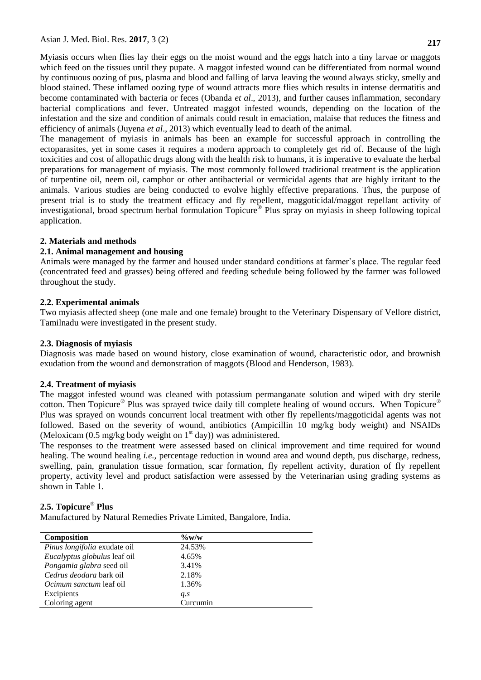Myiasis occurs when flies lay their eggs on the moist wound and the eggs hatch into a tiny larvae or maggots which feed on the tissues until they pupate. A maggot infested wound can be differentiated from normal wound by continuous oozing of pus, plasma and blood and falling of larva leaving the wound always sticky, smelly and blood stained. These inflamed oozing type of wound attracts more flies which results in intense dermatitis and become contaminated with bacteria or feces (Obanda *et al*., 2013), and further causes inflammation, secondary bacterial complications and fever. Untreated maggot infested wounds, depending on the location of the infestation and the size and condition of animals could result in emaciation, malaise that reduces the fitness and efficiency of animals (Juyena *et al*., 2013) which eventually lead to death of the animal.

The management of myiasis in animals has been an example for successful approach in controlling the ectoparasites, yet in some cases it requires a modern approach to completely get rid of. Because of the high toxicities and cost of allopathic drugs along with the health risk to humans, it is imperative to evaluate the herbal preparations for management of myiasis. The most commonly followed traditional treatment is the application of turpentine oil, neem oil, camphor or other antibacterial or vermicidal agents that are highly irritant to the animals. Various studies are being conducted to evolve highly effective preparations. Thus, the purpose of present trial is to study the treatment efficacy and fly repellent, maggoticidal/maggot repellant activity of investigational, broad spectrum herbal formulation Topicure® Plus spray on myiasis in sheep following topical application.

#### **2. Materials and methods**

#### **2.1. Animal management and housing**

Animals were managed by the farmer and housed under standard conditions at farmer's place. The regular feed (concentrated feed and grasses) being offered and feeding schedule being followed by the farmer was followed throughout the study.

#### **2.2. Experimental animals**

Two myiasis affected sheep (one male and one female) brought to the Veterinary Dispensary of Vellore district, Tamilnadu were investigated in the present study.

#### **2.3. Diagnosis of myiasis**

Diagnosis was made based on wound history, close examination of wound, characteristic odor, and brownish exudation from the wound and demonstration of maggots (Blood and Henderson, 1983).

#### **2.4. Treatment of myiasis**

The maggot infested wound was cleaned with potassium permanganate solution and wiped with dry sterile cotton. Then Topicure<sup>®</sup> Plus was sprayed twice daily till complete healing of wound occurs. When Topicure<sup>®</sup> Plus was sprayed on wounds concurrent local treatment with other fly repellents/maggoticidal agents was not followed. Based on the severity of wound, antibiotics (Ampicillin 10 mg/kg body weight) and NSAIDs (Meloxicam  $(0.5 \text{ mg/kg}$  body weight on  $1^{\text{st}}$  day)) was administered.

The responses to the treatment were assessed based on clinical improvement and time required for wound healing. The wound healing *i.e.,* percentage reduction in wound area and wound depth, pus discharge, redness, swelling, pain, granulation tissue formation, scar formation, fly repellent activity, duration of fly repellent property, activity level and product satisfaction were assessed by the Veterinarian using grading systems as shown in Table 1.

# **2.5. Topicure**® **Plus**

Manufactured by Natural Remedies Private Limited, Bangalore, India.

| <b>Composition</b>                  | $\%$ w/w |
|-------------------------------------|----------|
| <i>Pinus longifolia</i> exudate oil | 24.53%   |
| Eucalyptus globulus leaf oil        | 4.65%    |
| Pongamia glabra seed oil            | 3.41%    |
| Cedrus deodara bark oil             | 2.18%    |
| <i>Ocimum sanctum</i> leaf oil      | 1.36%    |
| Excipients                          | q.s      |
| Coloring agent                      | Curcumin |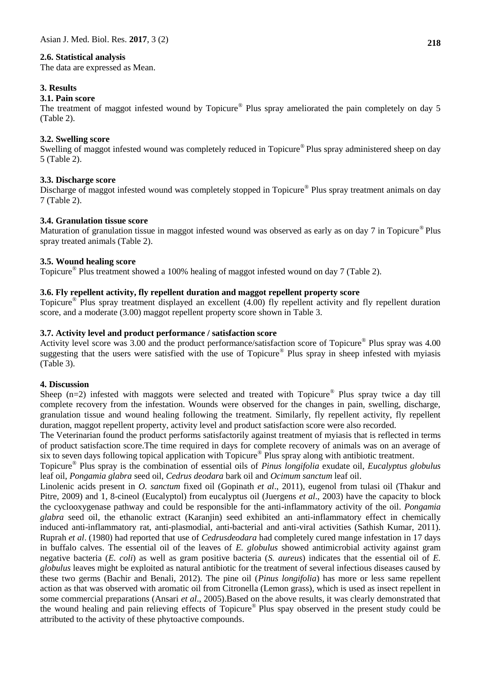#### **2.6. Statistical analysis**

The data are expressed as Mean.

#### **3. Results**

#### **3.1. Pain score**

The treatment of maggot infested wound by Topicure<sup>®</sup> Plus spray ameliorated the pain completely on day 5 (Table 2).

#### **3.2. Swelling score**

Swelling of maggot infested wound was completely reduced in Topicure® Plus spray administered sheep on day 5 (Table 2).

#### **3.3. Discharge score**

Discharge of maggot infested wound was completely stopped in Topicure® Plus spray treatment animals on day 7 (Table 2).

# **3.4. Granulation tissue score**

Maturation of granulation tissue in maggot infested wound was observed as early as on day 7 in Topicure® Plus spray treated animals (Table 2).

#### **3.5. Wound healing score**

Topicure® Plus treatment showed a 100% healing of maggot infested wound on day 7 (Table 2).

## **3.6. Fly repellent activity, fly repellent duration and maggot repellent property score**

Topicure® Plus spray treatment displayed an excellent (4.00) fly repellent activity and fly repellent duration score, and a moderate (3.00) maggot repellent property score shown in Table 3.

#### **3.7. Activity level and product performance / satisfaction score**

Activity level score was 3.00 and the product performance/satisfaction score of Topicure® Plus spray was 4.00 suggesting that the users were satisfied with the use of Topicure® Plus spray in sheep infested with myiasis (Table 3).

#### **4. Discussion**

Sheep  $(n=2)$  infested with maggots were selected and treated with Topicure<sup>®</sup> Plus spray twice a day till complete recovery from the infestation. Wounds were observed for the changes in pain, swelling, discharge, granulation tissue and wound healing following the treatment. Similarly, fly repellent activity, fly repellent duration, maggot repellent property, activity level and product satisfaction score were also recorded.

The Veterinarian found the product performs satisfactorily against treatment of myiasis that is reflected in terms of product satisfaction score.The time required in days for complete recovery of animals was on an average of six to seven days following topical application with Topicure® Plus spray along with antibiotic treatment.

Topicure® Plus spray is the combination of essential oils of *Pinus longifolia* exudate oil, *Eucalyptus globulus* leaf oil, *Pongamia glabra* seed oil, *Cedrus deodara* bark oil and *Ocimum sanctum* leaf oil.

Linolenic acids present in *O. sanctum* fixed oil (Gopinath *et al*., 2011), eugenol from tulasi oil (Thakur and Pitre, 2009) and 1, 8-cineol (Eucalyptol) from eucalyptus oil (Juergens *et al*., 2003) have the capacity to block the cyclooxygenase pathway and could be responsible for the anti-inflammatory activity of the oil. *Pongamia glabra* seed oil, the ethanolic extract (Karanjin) seed exhibited an anti-inflammatory effect in chemically induced anti-inflammatory rat, anti-plasmodial, anti-bacterial and anti-viral activities (Sathish Kumar, 2011). Ruprah *et al*. (1980) had reported that use of *Cedrusdeodara* had completely cured mange infestation in 17 days in buffalo calves. The essential oil of the leaves of *E. globulus* showed antimicrobial activity against gram negative bacteria (*E. coli*) as well as gram positive bacteria (*S. aureus*) indicates that the essential oil of *E. globulus* leaves might be exploited as natural antibiotic for the treatment of several infectious diseases caused by these two germs (Bachir and Benali, 2012). The pine oil (*Pinus longifolia*) has more or less same repellent action as that was observed with aromatic oil from Citronella (Lemon grass), which is used as insect repellent in some commercial preparations (Ansari *et al*., 2005).Based on the above results, it was clearly demonstrated that the wound healing and pain relieving effects of Topicure® Plus spay observed in the present study could be attributed to the activity of these phytoactive compounds.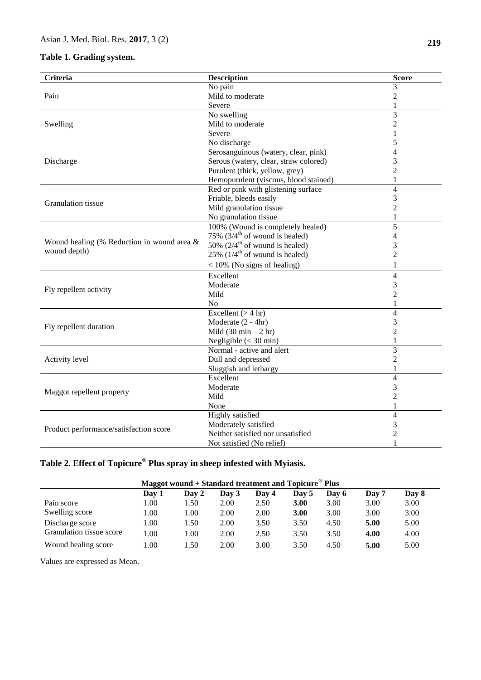# **Table 1. Grading system.**

| <b>Criteria</b>                            | <b>Description</b>                          | <b>Score</b>   |
|--------------------------------------------|---------------------------------------------|----------------|
|                                            | No pain                                     | 3              |
| Pain                                       | Mild to moderate                            | $\overline{2}$ |
|                                            | Severe                                      | 1              |
|                                            | No swelling                                 | 3              |
| Swelling                                   | Mild to moderate                            | $\overline{2}$ |
|                                            | Severe                                      | $\mathbf{1}$   |
|                                            | No discharge                                | $\overline{5}$ |
|                                            | Serosanguinous (watery, clear, pink)        | 4              |
| Discharge                                  | Serous (watery, clear, straw colored)       | 3              |
|                                            | Purulent (thick, yellow, grey)              | 2              |
|                                            | Hemopurulent (viscous, blood stained)       | 1              |
|                                            | Red or pink with glistening surface         | $\overline{4}$ |
| Granulation tissue                         | Friable, bleeds easily                      | 3              |
|                                            | Mild granulation tissue                     | $\overline{2}$ |
|                                            | No granulation tissue                       | $\mathbf 1$    |
|                                            | 100% (Wound is completely healed)           | $\overline{5}$ |
|                                            | 75% $(3/4^{\text{th}})$ of wound is healed) | $\overline{4}$ |
| Wound healing (% Reduction in wound area & | 50% $(2/4^{\text{th}}$ of wound is healed)  | 3              |
| wound depth)                               | 25% $(1/4^{\text{th}})$ of wound is healed) | $\overline{2}$ |
|                                            | $<$ 10% (No signs of healing)               | $\mathbf{1}$   |
|                                            | Excellent                                   | $\overline{4}$ |
|                                            | Moderate                                    | 3              |
| Fly repellent activity                     | Mild                                        | $\overline{2}$ |
|                                            | N <sub>o</sub>                              | 1              |
|                                            | Excellent $(> 4 \text{ hr})$                | $\overline{4}$ |
| Fly repellent duration                     | Moderate (2 - 4hr)                          | 3              |
|                                            | Mild $(30 \text{ min} - 2 \text{ hr})$      | $\overline{2}$ |
|                                            | Negligible $(< 30$ min)                     | $\mathbf{1}$   |
|                                            | Normal - active and alert                   | 3              |
| Activity level                             | Dull and depressed                          | $\overline{2}$ |
|                                            | Sluggish and lethargy                       | 1              |
|                                            | Excellent                                   | $\overline{4}$ |
|                                            | Moderate                                    | 3              |
| Maggot repellent property                  | Mild                                        | $\overline{2}$ |
|                                            | None                                        | $\mathbf 1$    |
|                                            | Highly satisfied                            | $\overline{4}$ |
| Product performance/satisfaction score     | Moderately satisfied                        | 3              |
|                                            | Neither satisfied nor unsatisfied           | $\overline{2}$ |
|                                            | Not satisfied (No relief)                   | 1              |

# **Table 2. Effect of Topicure® Plus spray in sheep infested with Myiasis.**

| Maggot wound + Standard treatment and Topicure <sup>®</sup> Plus |       |       |       |       |       |       |       |       |  |
|------------------------------------------------------------------|-------|-------|-------|-------|-------|-------|-------|-------|--|
|                                                                  | Dav 1 | Day 2 | Day 3 | Day 4 | Day 5 | Day 6 | Day 7 | Day 8 |  |
| Pain score                                                       | 1.00  | 1.50  | 2.00  | 2.50  | 3.00  | 3.00  | 3.00  | 3.00  |  |
| Swelling score                                                   | 1.00  | 1.00  | 2.00  | 2.00  | 3.00  | 3.00  | 3.00  | 3.00  |  |
| Discharge score                                                  | 1.00  | 1.50  | 2.00  | 3.50  | 3.50  | 4.50  | 5.00  | 5.00  |  |
| Granulation tissue score                                         | 1.00  | 1.00  | 2.00  | 2.50  | 3.50  | 3.50  | 4.00  | 4.00  |  |
| Wound healing score                                              | .00.  | .50   | 2.00  | 3.00  | 3.50  | 4.50  | 5.00  | 5.00  |  |

Values are expressed as Mean.